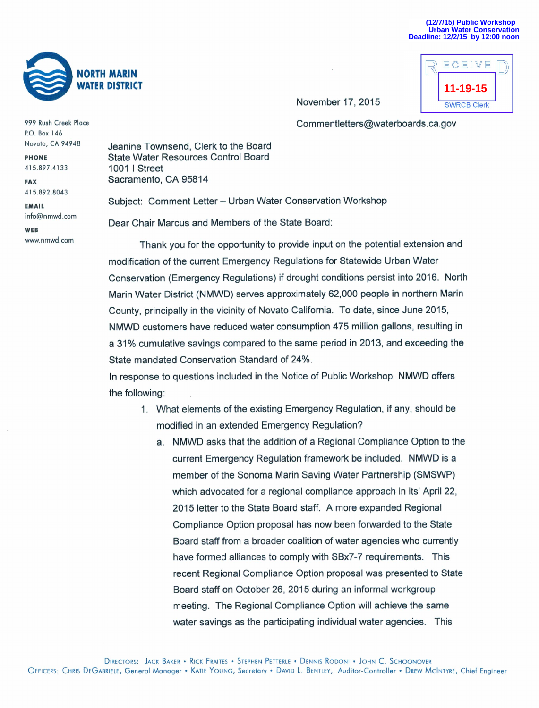

November 17, 2015

ECEIVE 11-19-15 **SWRCB Clerk** 

Commentletters@waterboards.ca.gov

999 Rush Creek Place P.O. Box 146 Novato, CA 94948

**PHONE** 415.897.4133

**FAX** 415.892.8043

**EMAIL** info@nmwd.com

WEB www.nmwd.com Jeanine Townsend. Clerk to the Board **State Water Resources Control Board** 1001 | Street Sacramento, CA 95814

Subiect: Comment Letter - Urban Water Conservation Workshop Dear Chair Marcus and Members of the State Board:

Thank you for the opportunity to provide input on the potential extension and modification of the current Emergency Regulations for Statewide Urban Water Conservation (Emergency Regulations) if drought conditions persist into 2016. North Marin Water District (NMWD) serves approximately 62,000 people in northern Marin County, principally in the vicinity of Novato California. To date, since June 2015, NMWD customers have reduced water consumption 475 million gallons, resulting in a 31% cumulative savings compared to the same period in 2013, and exceeding the State mandated Conservation Standard of 24%.

In response to questions included in the Notice of Public Workshop NMWD offers the following:

- 1. What elements of the existing Emergency Regulation, if any, should be modified in an extended Emergency Regulation?
	- a. NMWD asks that the addition of a Regional Compliance Option to the current Emergency Regulation framework be included. NMWD is a member of the Sonoma Marin Saving Water Partnership (SMSWP) which advocated for a regional compliance approach in its' April 22, 2015 letter to the State Board staff. A more expanded Regional Compliance Option proposal has now been forwarded to the State Board staff from a broader coalition of water agencies who currently have formed alliances to comply with SBx7-7 requirements. This recent Regional Compliance Option proposal was presented to State Board staff on October 26, 2015 during an informal workgroup meeting. The Regional Compliance Option will achieve the same water savings as the participating individual water agencies. This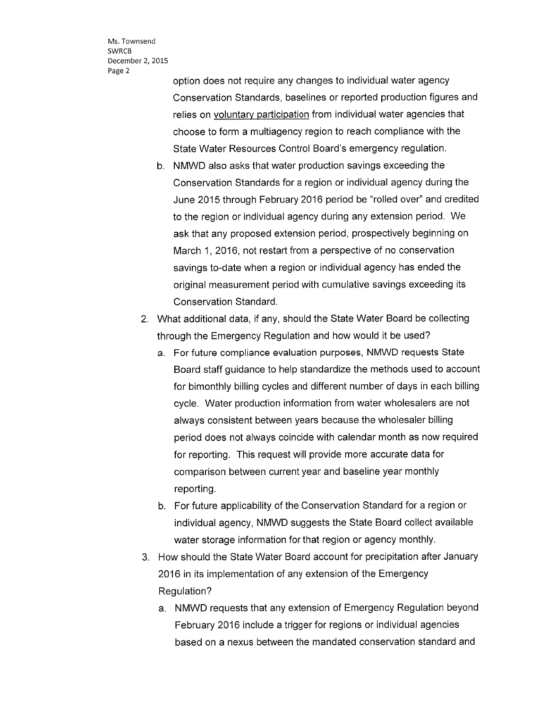Ms. Townsend SWRCB December 2, 2015 Page <sup>2</sup>

> option does not require any changes to individual water agency Conservation Standards, baselines or reported production figures and relies on voluntary participation from individual water agencies that choose to form a multiagency region to reach compliance with the State Water Resources Control Board's emergency regulation.

b. NMWD also asks that water production savings exceeding the Conservation Standards for a region or individual agency during the June 2015 through February 2016 period be "rolled over" and credited to the region or individual agency during any extension period. We ask that any proposed extension period, prospectively beginning on March 1, 2016, not restart from a perspective of no conservation savings to-date when a region or individual agency has ended the original measurement period with cumulative savings exceeding its Conservation Standard.

2. What additional data, if any, should the State Water Board be collecting through the Emergency Regulation and how would it be used?

- a. For future compliance evaluation purposes, NMWD requests State Board staff guidance to help standardize the methods used to account for bimonthly billing cycles and different number of days in each billing cycle. Water production information from water wholesalers are not always consistent between years because the wholesaler billing period does not always coincide with calendar month as now required for reporting. This request will provide more accurate data for comparison between current year and baseline year monthly reporting.
- b. For future applicability of the Conservation Standard for a region or individual agency, NMWD suggests the State Board collect available water storage information for that region or agency monthly.
- 3. How should the State Water Board account for precipitation after January 2016 in its implementation of any extension of the Emergency Regulation?
	- a. NMWD requests that any extension of Emergency Regulation beyond February 2016 include a trigger for regions or individual agencies based on a nexus between the mandated conservation standard and